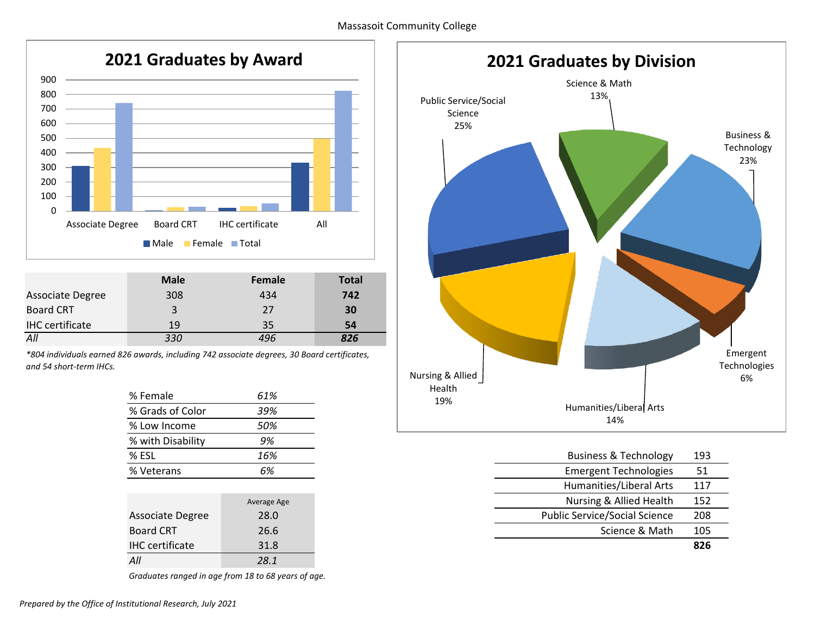

|                        | <b>Male</b> | Female | <b>Total</b> |
|------------------------|-------------|--------|--------------|
| Associate Degree       | 308         | 434    | 742          |
| <b>Board CRT</b>       | 3           | 27     | 30           |
| <b>IHC</b> certificate | 19          | 35     | 54           |
| All                    | 330         | 496    | 826          |

*\*804 individuals earned 826 awards, including 742 associate degrees, 30 Board certificates, and 54 short-term IHCs.* 

| % Female          | 61% |
|-------------------|-----|
| % Grads of Color  | 39% |
| % Low Income      | 50% |
| % with Disability | 9%  |
| % ESL             | 16% |
| % Veterans        |     |

|                        | Average Age | Nursing & Allied Health              | 152 |
|------------------------|-------------|--------------------------------------|-----|
| Associate Degree       | 28.0        | <b>Public Service/Social Science</b> | 208 |
| <b>Board CRT</b>       | 26.6        | Science & Math                       | 105 |
| <b>IHC</b> certificate | 31.8        |                                      | 826 |
| All                    | 28.1        |                                      |     |

*Graduates ranged in age from 18 to 68 years of age.* 



| % ESL            | 16%         | <b>Business &amp; Technology</b>     | 193 |
|------------------|-------------|--------------------------------------|-----|
| % Veterans       | 6%          | <b>Emergent Technologies</b>         | 51  |
|                  |             | Humanities/Liberal Arts              | 117 |
|                  | Average Age | Nursing & Allied Health              | 152 |
| Associate Degree | 28.0        | <b>Public Service/Social Science</b> | 208 |
| <b>Board CRT</b> | 26.6        | Science & Math                       | 105 |
| $111C = 125$     | 210         |                                      | 02c |